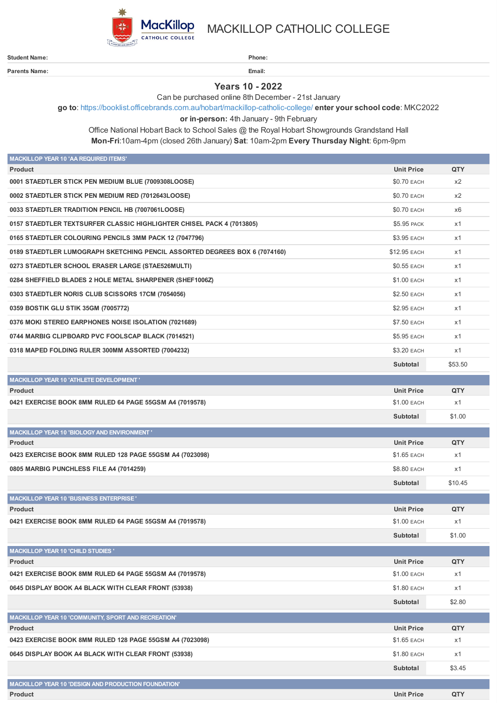

**Parents Name: Email:**

MACKILLOP CATHOLIC COLLEGE

**Student Name: Phone:**

**Years 10 - 2022**

Can be purchased online 8th December - 21st January

**go to**: <https://booklist.officebrands.com.au/hobart/mackillop-catholic-college/> **enter your school code**: MKC2022

**or in-person:** 4th January - 9th February

Office National Hobart Back to School Sales @ the Royal Hobart Showgrounds Grandstand Hall **Mon-Fri**:10am-4pm (closed 26th January) **Sat**: 10am-2pm **Every Thursday Night**: 6pm-9pm

| <b>MACKILLOP YEAR 10 'AA REQUIRED ITEMS'</b>                               |                    |         |
|----------------------------------------------------------------------------|--------------------|---------|
| <b>Product</b>                                                             | <b>Unit Price</b>  | QTY     |
| 0001 STAEDTLER STICK PEN MEDIUM BLUE (7009308LOOSE)                        | <b>\$0.70 EACH</b> | x2      |
| 0002 STAEDTLER STICK PEN MEDIUM RED (7012643LOOSE)                         | \$0.70 EACH        | x2      |
| 0033 STAEDTLER TRADITION PENCIL HB (7007061LOOSE)                          | \$0.70 EACH        | x6      |
| 0157 STAEDTLER TEXTSURFER CLASSIC HIGHLIGHTER CHISEL PACK 4 (7013805)      | \$5.95 PACK        | x1      |
| 0165 STAEDTLER COLOURING PENCILS 3MM PACK 12 (7047796)                     | \$3.95 EACH        | x1      |
| 0189 STAEDTLER LUMOGRAPH SKETCHING PENCIL ASSORTED DEGREES BOX 6 (7074160) | \$12.95 EACH       | x1      |
| 0273 STAEDTLER SCHOOL ERASER LARGE (STAE526MULTI)                          | \$0.55 EACH        | x1      |
| 0284 SHEFFIELD BLADES 2 HOLE METAL SHARPENER (SHEF1006Z)                   | \$1.00 EACH        | x1      |
| 0303 STAEDTLER NORIS CLUB SCISSORS 17CM (7054056)                          | \$2.50 EACH        | x1      |
| 0359 BOSTIK GLU STIK 35GM (7005772)                                        | \$2.95 EACH        | x1      |
| 0376 MOKI STEREO EARPHONES NOISE ISOLATION (7021689)                       | \$7.50 EACH        | x1      |
| 0744 MARBIG CLIPBOARD PVC FOOLSCAP BLACK (7014521)                         | \$5.95 EACH        | x1      |
| 0318 MAPED FOLDING RULER 300MM ASSORTED (7004232)                          | \$3.20 EACH        | x1      |
|                                                                            | Subtotal           | \$53.50 |
| <b>MACKILLOP YEAR 10 'ATHLETE DEVELOPMENT'</b>                             |                    |         |
| <b>Product</b>                                                             | <b>Unit Price</b>  | QTY     |
| 0421 EXERCISE BOOK 8MM RULED 64 PAGE 55GSM A4 (7019578)                    | \$1.00 EACH        | x1      |
|                                                                            | Subtotal           | \$1.00  |
| MACKILLOP YEAR 10 'BIOLOGY AND ENVIRONMENT'                                |                    |         |
| <b>Product</b>                                                             | <b>Unit Price</b>  | QTY     |
| 0423 EXERCISE BOOK 8MM RULED 128 PAGE 55GSM A4 (7023098)                   | \$1.65 EACH        | x1      |
| 0805 MARBIG PUNCHLESS FILE A4 (7014259)                                    | \$8.80 EACH        | x1      |
|                                                                            | Subtotal           | \$10.45 |
| <b>MACKILLOP YEAR 10 'BUSINESS ENTERPRISE'</b>                             |                    |         |
| <b>Product</b>                                                             | <b>Unit Price</b>  | QTY     |
| 0421 EXERCISE BOOK 8MM RULED 64 PAGE 55GSM A4 (7019578)                    | \$1.00 EACH        | x1      |
|                                                                            | Subtotal           | \$1.00  |
| <b>MACKILLOP YEAR 10 'CHILD STUDIES '</b>                                  |                    |         |
| <b>Product</b>                                                             | <b>Unit Price</b>  | QTY     |
| 0421 EXERCISE BOOK 8MM RULED 64 PAGE 55GSM A4 (7019578)                    | \$1.00 EACH        | x1      |
| 0645 DISPLAY BOOK A4 BLACK WITH CLEAR FRONT (53938)                        | \$1.80 EACH        | x1      |
|                                                                            | Subtotal           | \$2.80  |
| MACKILLOP YEAR 10 'COMMUNITY, SPORT AND RECREATION'                        |                    |         |
| <b>Product</b>                                                             | <b>Unit Price</b>  | QTY     |
| 0423 EXERCISE BOOK 8MM RULED 128 PAGE 55GSM A4 (7023098)                   | \$1.65 EACH        | x1      |
| 0645 DISPLAY BOOK A4 BLACK WITH CLEAR FRONT (53938)                        | \$1.80 EACH        | x1      |
|                                                                            | Subtotal           | \$3.45  |
| MACKILLOP YEAR 10 'DESIGN AND PRODUCTION FOUNDATION'                       |                    |         |
| <b>Product</b>                                                             | <b>Unit Price</b>  | QTY     |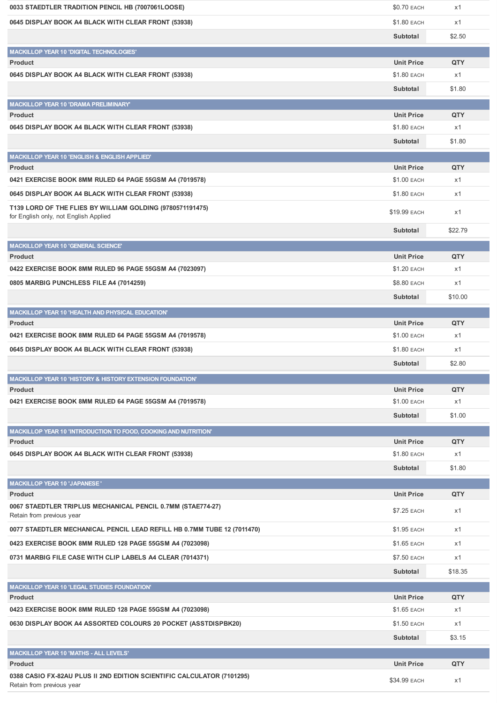| 0033 STAEDTLER TRADITION PENCIL HB (7007061LOOSE)                                                   | \$0.70 EACH        | x1         |
|-----------------------------------------------------------------------------------------------------|--------------------|------------|
| 0645 DISPLAY BOOK A4 BLACK WITH CLEAR FRONT (53938)                                                 | \$1.80 EACH        | x1         |
|                                                                                                     | Subtotal           | \$2.50     |
| MACKILLOP YEAR 10 'DIGITAL TECHNOLOGIES'                                                            |                    |            |
| <b>Product</b>                                                                                      | <b>Unit Price</b>  | QTY        |
| 0645 DISPLAY BOOK A4 BLACK WITH CLEAR FRONT (53938)                                                 | \$1.80 EACH        | x1         |
|                                                                                                     | Subtotal           | \$1.80     |
| MACKILLOP YEAR 10 'DRAMA PRELIMINARY'                                                               |                    |            |
| <b>Product</b>                                                                                      | <b>Unit Price</b>  | QTY        |
| 0645 DISPLAY BOOK A4 BLACK WITH CLEAR FRONT (53938)                                                 | \$1.80 EACH        | x1         |
|                                                                                                     | Subtotal           | \$1.80     |
| MACKILLOP YEAR 10 'ENGLISH & ENGLISH APPLIED'                                                       |                    |            |
| <b>Product</b>                                                                                      | <b>Unit Price</b>  | QTY        |
| 0421 EXERCISE BOOK 8MM RULED 64 PAGE 55GSM A4 (7019578)                                             | \$1.00 EACH        | x1         |
| 0645 DISPLAY BOOK A4 BLACK WITH CLEAR FRONT (53938)                                                 | \$1.80 EACH        | x1         |
| T139 LORD OF THE FLIES BY WILLIAM GOLDING (9780571191475)<br>for English only, not English Applied  | \$19.99 EACH       | x1         |
|                                                                                                     | Subtotal           | \$22.79    |
| <b>MACKILLOP YEAR 10 'GENERAL SCIENCE'</b>                                                          |                    |            |
| <b>Product</b>                                                                                      | <b>Unit Price</b>  | <b>QTY</b> |
| 0422 EXERCISE BOOK 8MM RULED 96 PAGE 55GSM A4 (7023097)                                             | \$1.20 EACH        | x1         |
| 0805 MARBIG PUNCHLESS FILE A4 (7014259)                                                             | \$8.80 EACH        | x1         |
|                                                                                                     | Subtotal           | \$10.00    |
| MACKILLOP YEAR 10 'HEALTH AND PHYSICAL EDUCATION'                                                   |                    |            |
| <b>Product</b>                                                                                      | <b>Unit Price</b>  | QTY        |
| 0421 EXERCISE BOOK 8MM RULED 64 PAGE 55GSM A4 (7019578)                                             | \$1.00 EACH        | x1         |
| 0645 DISPLAY BOOK A4 BLACK WITH CLEAR FRONT (53938)                                                 | \$1.80 EACH        | x1         |
|                                                                                                     | Subtotal           | \$2.80     |
| <b>MACKILLOP YEAR 10 'HISTORY &amp; HISTORY EXTENSION FOUNDATION'</b>                               |                    |            |
| <b>Product</b>                                                                                      | <b>Unit Price</b>  | QTY        |
| 0421 EXERCISE BOOK 8MM RULED 64 PAGE 55GSM A4 (7019578)                                             | <b>\$1.00 EACH</b> | x1         |
|                                                                                                     | Subtotal           | \$1.00     |
| MACKILLOP YEAR 10 'INTRODUCTION TO FOOD, COOKING AND NUTRITION'                                     |                    |            |
| <b>Product</b>                                                                                      | <b>Unit Price</b>  | <b>QTY</b> |
| 0645 DISPLAY BOOK A4 BLACK WITH CLEAR FRONT (53938)                                                 | \$1.80 EACH        | x1         |
|                                                                                                     | Subtotal           | \$1.80     |
| <b>MACKILLOP YEAR 10 'JAPANESE'</b>                                                                 |                    |            |
| <b>Product</b>                                                                                      | <b>Unit Price</b>  | QTY        |
| 0067 STAEDTLER TRIPLUS MECHANICAL PENCIL 0.7MM (STAE774-27)<br>Retain from previous year            | \$7.25 EACH        | x1         |
| 0077 STAEDTLER MECHANICAL PENCIL LEAD REFILL HB 0.7MM TUBE 12 (7011470)                             | \$1.95 EACH        | x1         |
| 0423 EXERCISE BOOK 8MM RULED 128 PAGE 55GSM A4 (7023098)                                            | \$1.65 EACH        | x1         |
| 0731 MARBIG FILE CASE WITH CLIP LABELS A4 CLEAR (7014371)                                           | \$7.50 EACH        | x1         |
|                                                                                                     | Subtotal           | \$18.35    |
| <b>MACKILLOP YEAR 10 'LEGAL STUDIES FOUNDATION'</b>                                                 |                    |            |
| <b>Product</b>                                                                                      | <b>Unit Price</b>  | QTY        |
| 0423 EXERCISE BOOK 8MM RULED 128 PAGE 55GSM A4 (7023098)                                            | \$1.65 EACH        | x1         |
| 0630 DISPLAY BOOK A4 ASSORTED COLOURS 20 POCKET (ASSTDISPBK20)                                      | \$1.50 EACH        | x1         |
|                                                                                                     | Subtotal           | \$3.15     |
| MACKILLOP YEAR 10 'MATHS - ALL LEVELS'                                                              |                    |            |
| <b>Product</b>                                                                                      | <b>Unit Price</b>  | QTY        |
| 0388 CASIO FX-82AU PLUS II 2ND EDITION SCIENTIFIC CALCULATOR (7101295)<br>Retain from previous year | \$34.99 EACH       | x1         |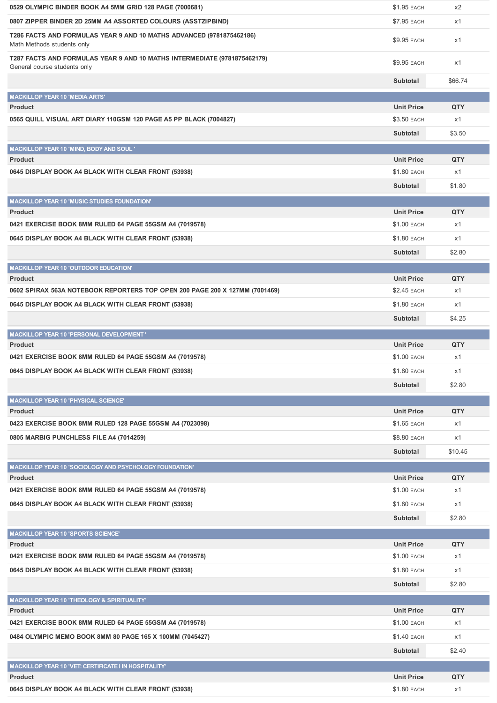| 0529 OLYMPIC BINDER BOOK A4 5MM GRID 128 PAGE (7000681)                                                  | \$1.95 EACH        | x2         |
|----------------------------------------------------------------------------------------------------------|--------------------|------------|
| 0807 ZIPPER BINDER 2D 25MM A4 ASSORTED COLOURS (ASSTZIPBIND)                                             | \$7.95 EACH        | x1         |
| T286 FACTS AND FORMULAS YEAR 9 AND 10 MATHS ADVANCED (9781875462186)<br>Math Methods students only       | \$9.95 EACH        | x1         |
| T287 FACTS AND FORMULAS YEAR 9 AND 10 MATHS INTERMEDIATE (9781875462179)<br>General course students only | \$9.95 EACH        | x1         |
|                                                                                                          | Subtotal           | \$66.74    |
| <b>MACKILLOP YEAR 10 'MEDIA ARTS'</b>                                                                    |                    |            |
| <b>Product</b>                                                                                           | <b>Unit Price</b>  | QTY        |
| 0565 QUILL VISUAL ART DIARY 110GSM 120 PAGE A5 PP BLACK (7004827)                                        | \$3.50 EACH        | x1         |
|                                                                                                          | Subtotal           | \$3.50     |
| MACKILLOP YEAR 10 'MIND, BODY AND SOUL '                                                                 |                    |            |
| <b>Product</b>                                                                                           | <b>Unit Price</b>  | QTY        |
| 0645 DISPLAY BOOK A4 BLACK WITH CLEAR FRONT (53938)                                                      | <b>\$1.80 EACH</b> | x1         |
|                                                                                                          | Subtotal           | \$1.80     |
| <b>MACKILLOP YEAR 10 'MUSIC STUDIES FOUNDATION'</b>                                                      |                    |            |
| <b>Product</b>                                                                                           | <b>Unit Price</b>  | QTY        |
| 0421 EXERCISE BOOK 8MM RULED 64 PAGE 55GSM A4 (7019578)                                                  | \$1.00 EACH        | x1         |
| 0645 DISPLAY BOOK A4 BLACK WITH CLEAR FRONT (53938)                                                      | <b>\$1.80 EACH</b> | x1         |
|                                                                                                          | Subtotal           | \$2.80     |
| <b>MACKILLOP YEAR 10 'OUTDOOR EDUCATION'</b>                                                             |                    |            |
| <b>Product</b>                                                                                           | <b>Unit Price</b>  | QTY        |
| 0602 SPIRAX 563A NOTEBOOK REPORTERS TOP OPEN 200 PAGE 200 X 127MM (7001469)                              | <b>\$2.45 EACH</b> | x1         |
| 0645 DISPLAY BOOK A4 BLACK WITH CLEAR FRONT (53938)                                                      | <b>\$1.80 EACH</b> | x1         |
|                                                                                                          | Subtotal           | \$4.25     |
| <b>MACKILLOP YEAR 10 'PERSONAL DEVELOPMENT'</b>                                                          |                    |            |
| <b>Product</b>                                                                                           | <b>Unit Price</b>  | <b>QTY</b> |
| 0421 EXERCISE BOOK 8MM RULED 64 PAGE 55GSM A4 (7019578)                                                  | \$1.00 EACH        | x1         |
| 0645 DISPLAY BOOK A4 BLACK WITH CLEAR FRONT (53938)                                                      | \$1.80 EACH        | x1         |
|                                                                                                          | Subtotal           | \$2.80     |
| <b>MACKILLOP YEAR 10 'PHYSICAL SCIENCE'</b>                                                              |                    |            |
| <b>Product</b>                                                                                           | <b>Unit Price</b>  | QTY        |
| 0423 EXERCISE BOOK 8MM RULED 128 PAGE 55GSM A4 (7023098)                                                 | \$1.65 EACH        | x1         |
| 0805 MARBIG PUNCHLESS FILE A4 (7014259)                                                                  | \$8.80 EACH        | x1         |
|                                                                                                          |                    |            |
|                                                                                                          | Subtotal           | \$10.45    |
| MACKILLOP YEAR 10 'SOCIOLOGY AND PSYCHOLOGY FOUNDATION'                                                  |                    |            |
| <b>Product</b>                                                                                           | <b>Unit Price</b>  | QTY        |
| 0421 EXERCISE BOOK 8MM RULED 64 PAGE 55GSM A4 (7019578)                                                  | \$1.00 EACH        | x1         |
| 0645 DISPLAY BOOK A4 BLACK WITH CLEAR FRONT (53938)                                                      | \$1.80 EACH        | x1         |
|                                                                                                          | Subtotal           | \$2.80     |
| <b>MACKILLOP YEAR 10 'SPORTS SCIENCE'</b>                                                                |                    |            |
| <b>Product</b>                                                                                           | <b>Unit Price</b>  | QTY        |
| 0421 EXERCISE BOOK 8MM RULED 64 PAGE 55GSM A4 (7019578)                                                  | \$1.00 EACH        | x1         |
| 0645 DISPLAY BOOK A4 BLACK WITH CLEAR FRONT (53938)                                                      | <b>\$1.80 EACH</b> | x1         |
|                                                                                                          | Subtotal           | \$2.80     |
| MACKILLOP YEAR 10 'THEOLOGY & SPIRITUALITY'                                                              |                    |            |
| <b>Product</b>                                                                                           | <b>Unit Price</b>  | <b>QTY</b> |
| 0421 EXERCISE BOOK 8MM RULED 64 PAGE 55GSM A4 (7019578)                                                  | \$1.00 EACH        | x1         |
| 0484 OLYMPIC MEMO BOOK 8MM 80 PAGE 165 X 100MM (7045427)                                                 | \$1.40 EACH        | x1         |
|                                                                                                          | Subtotal           | \$2.40     |
| MACKILLOP YEAR 10 'VET: CERTIFICATE I IN HOSPITALITY'                                                    |                    |            |
| <b>Product</b>                                                                                           | <b>Unit Price</b>  | QTY        |